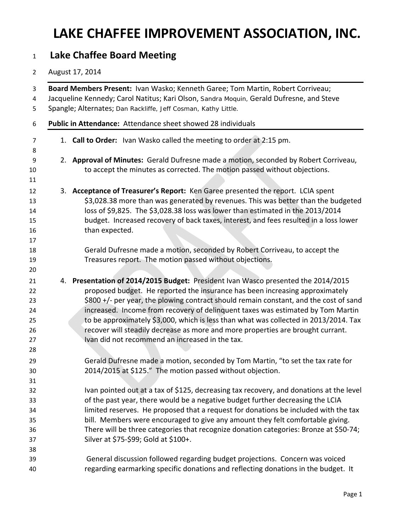#### **Lake Chaffee Board Meeting**

#### August 17, 2014

| Board Members Present: Ivan Wasko; Kenneth Garee; Tom Martin, Robert Corriveau;<br>Jacqueline Kennedy; Carol Natitus; Kari Olson, Sandra Moquin, Gerald Dufresne, and Steve<br>Spangle; Alternates; Dan Rackliffe, Jeff Cosman, Kathy Little.                                                                                                                                                                                                                                                                                                                               |
|-----------------------------------------------------------------------------------------------------------------------------------------------------------------------------------------------------------------------------------------------------------------------------------------------------------------------------------------------------------------------------------------------------------------------------------------------------------------------------------------------------------------------------------------------------------------------------|
| Public in Attendance: Attendance sheet showed 28 individuals                                                                                                                                                                                                                                                                                                                                                                                                                                                                                                                |
| 1. Call to Order: Ivan Wasko called the meeting to order at 2:15 pm.                                                                                                                                                                                                                                                                                                                                                                                                                                                                                                        |
| 2. Approval of Minutes: Gerald Dufresne made a motion, seconded by Robert Corriveau,<br>to accept the minutes as corrected. The motion passed without objections.                                                                                                                                                                                                                                                                                                                                                                                                           |
| 3. Acceptance of Treasurer's Report: Ken Garee presented the report. LCIA spent<br>\$3,028.38 more than was generated by revenues. This was better than the budgeted<br>loss of \$9,825. The \$3,028.38 loss was lower than estimated in the 2013/2014<br>budget. Increased recovery of back taxes, interest, and fees resulted in a loss lower<br>than expected.                                                                                                                                                                                                           |
| Gerald Dufresne made a motion, seconded by Robert Corriveau, to accept the<br>Treasures report. The motion passed without objections.                                                                                                                                                                                                                                                                                                                                                                                                                                       |
| 4. Presentation of 2014/2015 Budget: President Ivan Wasco presented the 2014/2015<br>proposed budget. He reported the insurance has been increasing approximately<br>\$800 +/- per year, the plowing contract should remain constant, and the cost of sand<br>increased. Income from recovery of delinquent taxes was estimated by Tom Martin<br>to be approximately \$3,000, which is less than what was collected in 2013/2014. Tax<br>recover will steadily decrease as more and more properties are brought currant.<br>Ivan did not recommend an increased in the tax. |
| Gerald Dufresne made a motion, seconded by Tom Martin, "to set the tax rate for<br>2014/2015 at \$125." The motion passed without objection.                                                                                                                                                                                                                                                                                                                                                                                                                                |
| Ivan pointed out at a tax of \$125, decreasing tax recovery, and donations at the level<br>of the past year, there would be a negative budget further decreasing the LCIA<br>limited reserves. He proposed that a request for donations be included with the tax<br>bill. Members were encouraged to give any amount they felt comfortable giving.<br>There will be three categories that recognize donation categories: Bronze at \$50-74;<br>Silver at \$75-\$99; Gold at \$100+.                                                                                         |
| General discussion followed regarding budget projections. Concern was voiced<br>regarding earmarking specific donations and reflecting donations in the budget. It                                                                                                                                                                                                                                                                                                                                                                                                          |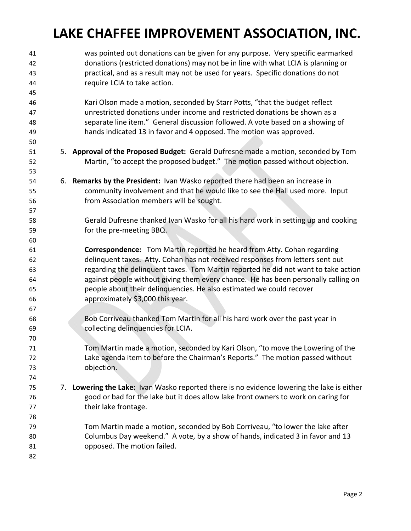| 41<br>42 |    | was pointed out donations can be given for any purpose. Very specific earmarked<br>donations (restricted donations) may not be in line with what LCIA is planning or |
|----------|----|----------------------------------------------------------------------------------------------------------------------------------------------------------------------|
| 43       |    | practical, and as a result may not be used for years. Specific donations do not                                                                                      |
| 44       |    | require LCIA to take action.                                                                                                                                         |
| 45       |    |                                                                                                                                                                      |
| 46       |    | Kari Olson made a motion, seconded by Starr Potts, "that the budget reflect                                                                                          |
| 47       |    | unrestricted donations under income and restricted donations be shown as a                                                                                           |
| 48       |    | separate line item." General discussion followed. A vote based on a showing of                                                                                       |
| 49       |    | hands indicated 13 in favor and 4 opposed. The motion was approved.                                                                                                  |
| 50       |    |                                                                                                                                                                      |
| 51       |    | 5. Approval of the Proposed Budget: Gerald Dufresne made a motion, seconded by Tom                                                                                   |
| 52<br>53 |    | Martin, "to accept the proposed budget." The motion passed without objection.                                                                                        |
| 54       |    | 6. Remarks by the President: Ivan Wasko reported there had been an increase in                                                                                       |
| 55       |    | community involvement and that he would like to see the Hall used more. Input                                                                                        |
| 56       |    | from Association members will be sought.                                                                                                                             |
| 57       |    |                                                                                                                                                                      |
| 58       |    | Gerald Dufresne thanked Ivan Wasko for all his hard work in setting up and cooking                                                                                   |
| 59       |    | for the pre-meeting BBQ.                                                                                                                                             |
| 60       |    |                                                                                                                                                                      |
| 61       |    | <b>Correspondence:</b> Tom Martin reported he heard from Atty. Cohan regarding                                                                                       |
| 62       |    | delinquent taxes. Atty. Cohan has not received responses from letters sent out                                                                                       |
| 63       |    | regarding the delinquent taxes. Tom Martin reported he did not want to take action                                                                                   |
| 64       |    | against people without giving them every chance. He has been personally calling on                                                                                   |
| 65       |    | people about their delinquencies. He also estimated we could recover                                                                                                 |
| 66       |    | approximately \$3,000 this year.                                                                                                                                     |
| 67       |    |                                                                                                                                                                      |
| 68       |    | Bob Corriveau thanked Tom Martin for all his hard work over the past year in                                                                                         |
| 69       |    | collecting delinquencies for LCIA.                                                                                                                                   |
| 70       |    |                                                                                                                                                                      |
| 71       |    | Tom Martin made a motion, seconded by Kari Olson, "to move the Lowering of the                                                                                       |
| 72       |    | Lake agenda item to before the Chairman's Reports." The motion passed without                                                                                        |
| 73       |    | objection.                                                                                                                                                           |
| 74       |    |                                                                                                                                                                      |
| 75       | 7. | Lowering the Lake: Ivan Wasko reported there is no evidence lowering the lake is either                                                                              |
| 76       |    | good or bad for the lake but it does allow lake front owners to work on caring for                                                                                   |
| 77       |    | their lake frontage.                                                                                                                                                 |
| 78       |    |                                                                                                                                                                      |
| 79       |    | Tom Martin made a motion, seconded by Bob Corriveau, "to lower the lake after                                                                                        |
| 80       |    | Columbus Day weekend." A vote, by a show of hands, indicated 3 in favor and 13                                                                                       |
| 81       |    | opposed. The motion failed.                                                                                                                                          |
| 82       |    |                                                                                                                                                                      |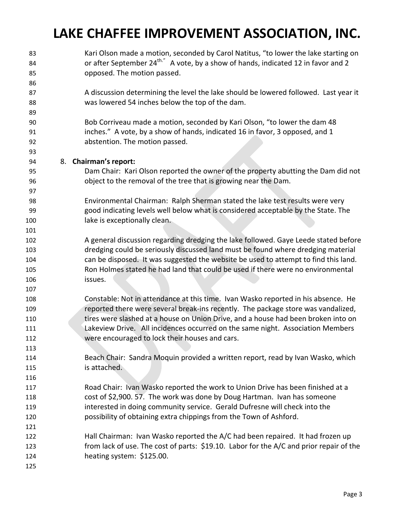Kari Olson made a motion, seconded by Carol Natitus, "to lower the lake starting on **budge of after September 24<sup>th."</sup> A vote, by a show of hands, indicated 12 in favor and 2**  opposed. The motion passed. A discussion determining the level the lake should be lowered followed. Last year it was lowered 54 inches below the top of the dam. Bob Corriveau made a motion, seconded by Kari Olson, "to lower the dam 48 inches." A vote, by a show of hands, indicated 16 in favor, 3 opposed, and 1 abstention. The motion passed. 8. **Chairman's report:** Dam Chair: Kari Olson reported the owner of the property abutting the Dam did not object to the removal of the tree that is growing near the Dam. Environmental Chairman: Ralph Sherman stated the lake test results were very good indicating levels well below what is considered acceptable by the State. The lake is exceptionally clean. A general discussion regarding dredging the lake followed. Gaye Leede stated before dredging could be seriously discussed land must be found where dredging material can be disposed. It was suggested the website be used to attempt to find this land. Ron Holmes stated he had land that could be used if there were no environmental issues. Constable: Not in attendance at this time. Ivan Wasko reported in his absence. He reported there were several break‐ins recently. The package store was vandalized, tires were slashed at a house on Union Drive, and a house had been broken into on Lakeview Drive. All incidences occurred on the same night. Association Members were encouraged to lock their houses and cars. Beach Chair: Sandra Moquin provided a written report, read by Ivan Wasko, which is attached. Road Chair: Ivan Wasko reported the work to Union Drive has been finished at a cost of \$2,900. 57. The work was done by Doug Hartman. Ivan has someone interested in doing community service. Gerald Dufresne will check into the possibility of obtaining extra chippings from the Town of Ashford. Hall Chairman: Ivan Wasko reported the A/C had been repaired. It had frozen up from lack of use. The cost of parts: \$19.10. Labor for the A/C and prior repair of the 124 heating system: \$125.00.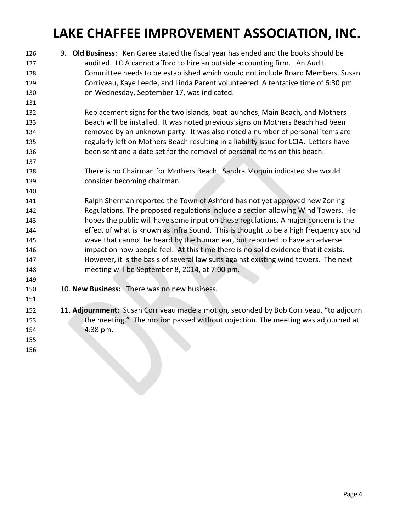9. **Old Business:** Ken Garee stated the fiscal year has ended and the books should be audited. LCIA cannot afford to hire an outside accounting firm. An Audit Committee needs to be established which would not include Board Members. Susan Corriveau, Kaye Leede, and Linda Parent volunteered. A tentative time of 6:30 pm on Wednesday, September 17, was indicated. Replacement signs for the two islands, boat launches, Main Beach, and Mothers Beach will be installed. It was noted previous signs on Mothers Beach had been removed by an unknown party. It was also noted a number of personal items are regularly left on Mothers Beach resulting in a liability issue for LCIA. Letters have been sent and a date set for the removal of personal items on this beach. There is no Chairman for Mothers Beach. Sandra Moquin indicated she would consider becoming chairman. Ralph Sherman reported the Town of Ashford has not yet approved new Zoning Regulations. The proposed regulations include a section allowing Wind Towers. He hopes the public will have some input on these regulations. A major concern is the effect of what is known as Infra Sound. This is thought to be a high frequency sound wave that cannot be heard by the human ear, but reported to have an adverse impact on how people feel. At this time there is no solid evidence that it exists. However, it is the basis of several law suits against existing wind towers. The next meeting will be September 8, 2014, at 7:00 pm. 10. **New Business:** There was no new business. 152 11. Adjournment: Susan Corriveau made a motion, seconded by Bob Corriveau, "to adjourn the meeting." The motion passed without objection. The meeting was adjourned at 4:38 pm.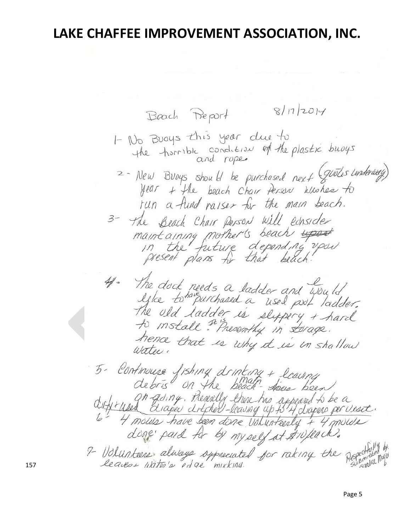$8/17/2014$ Beach Report 1- No Buoys this year due to<br>the thorrible condition of the plastic buoys 2- New Broys should be purchased next (grotes underway)<br>year + the beach Chair Person who here to run a fund raiser for the main beach. 3- The Beach Chair Person will ednsider maintaining mother's beach upon 41- The dock needs a ladder and would<br>lyke to <sup>hav</sup>ourchased a used pool ladder.<br>The old ladder is slupping + hard<br>to install \* Presently in torage.<br>hence that is why to internal ll. hence that is why it is in shallow 5- Continuese fishing drinking + leaving<br>debris on the beach-does been<br>diffrired diaper differently there has appeared to be a<br>4 Hansius have been done volunteerly + 4 mouter<br>done paid for by myself at #10/lack. 9- Volunteers always oppreciated for raking the Repect

Page 5